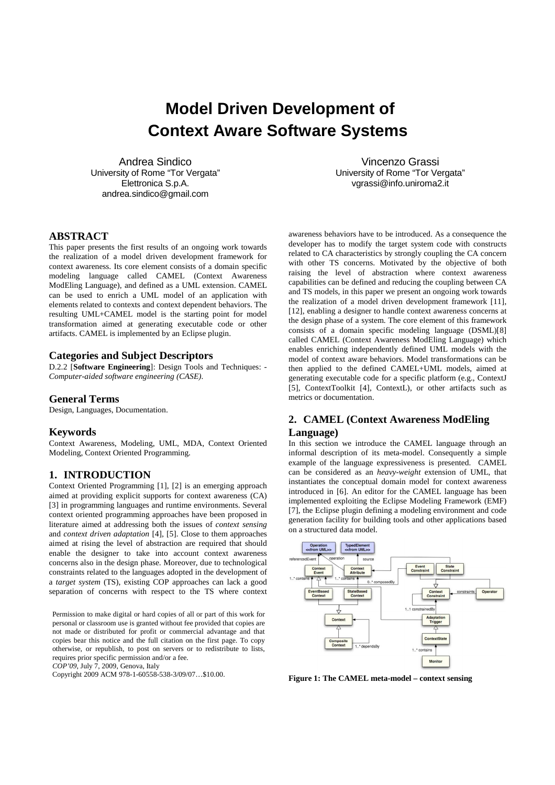# **Model Driven Development of Context Aware Software Systems**

Andrea Sindico University of Rome "Tor Vergata" Elettronica S.p.A. andrea.sindico@gmail.com

#### **ABSTRACT**

This paper presents the first results of an ongoing work towards the realization of a model driven development framework for context awareness. Its core element consists of a domain specific modeling language called CAMEL (Context Awareness ModEling Language), and defined as a UML extension. CAMEL can be used to enrich a UML model of an application with elements related to contexts and context dependent behaviors. The resulting UML+CAMEL model is the starting point for model transformation aimed at generating executable code or other artifacts. CAMEL is implemented by an Eclipse plugin.

#### **Categories and Subject Descriptors**

D.2.2 [**Software Engineering**]: Design Tools and Techniques: - *Computer-aided software engineering (CASE).*

#### **General Terms**

Design, Languages, Documentation.

#### **Keywords**

Context Awareness, Modeling, UML, MDA, Context Oriented Modeling, Context Oriented Programming.

### **1. INTRODUCTION**

Context Oriented Programming [1], [2] is an emerging approach aimed at providing explicit supports for context awareness (CA) [3] in programming languages and runtime environments. Several context oriented programming approaches have been proposed in literature aimed at addressing both the issues of *context sensing* and *context driven adaptation* [4], [5]. Close to them approaches aimed at rising the level of abstraction are required that should enable the designer to take into account context awareness concerns also in the design phase. Moreover, due to technological constraints related to the languages adopted in the development of a *target system* (TS), existing COP approaches can lack a good separation of concerns with respect to the TS where context

Permission to make digital or hard copies of all or part of this work for personal or classroom use is granted without fee provided that copies are not made or distributed for profit or commercial advantage and that copies bear this notice and the full citation on the first page. To copy otherwise, or republish, to post on servers or to redistribute to lists, requires prior specific permission and/or a fee.

*COP'09*, July 7, 2009, Genova, Italy

Copyright 2009 ACM 978-1-60558-538-3/09/07…\$10.00.

Vincenzo Grassi University of Rome "Tor Vergata" vgrassi@info.uniroma2.it

awareness behaviors have to be introduced. As a consequence the developer has to modify the target system code with constructs related to CA characteristics by strongly coupling the CA concern with other TS concerns. Motivated by the objective of both raising the level of abstraction where context awareness capabilities can be defined and reducing the coupling between CA and TS models, in this paper we present an ongoing work towards the realization of a model driven development framework [11], [12], enabling a designer to handle context awareness concerns at the design phase of a system. The core element of this framework consists of a domain specific modeling language (DSML)[8] called CAMEL (Context Awareness ModEling Language) which enables enriching independently defined UML models with the model of context aware behaviors. Model transformations can be then applied to the defined CAMEL+UML models, aimed at generating executable code for a specific platform (e.g., ContextJ [5], ContextToolkit [4], ContextL), or other artifacts such as metrics or documentation.

## **2. CAMEL (Context Awareness ModEling Language)**

In this section we introduce the CAMEL language through an informal description of its meta-model. Consequently a simple example of the language expressiveness is presented. CAMEL can be considered as an *heavy-weight* extension of UML, that instantiates the conceptual domain model for context awareness introduced in [6]. An editor for the CAMEL language has been implemented exploiting the Eclipse Modeling Framework (EMF) [7], the Eclipse plugin defining a modeling environment and code generation facility for building tools and other applications based on a structured data model.



**Figure 1: The CAMEL meta-model – context sensing**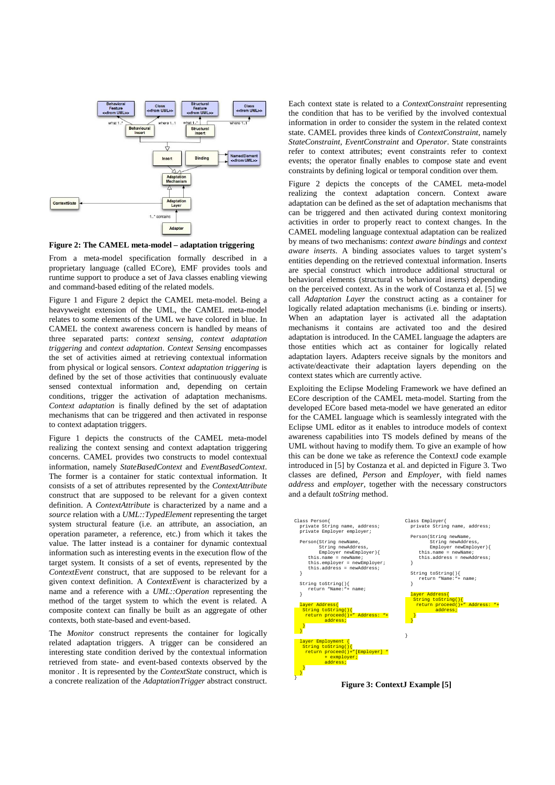

**Figure 2: The CAMEL meta-model – adaptation triggering** 

From a meta-model specification formally described in a proprietary language (called ECore), EMF provides tools and runtime support to produce a set of Java classes enabling viewing and command-based editing of the related models.

Figure 1 and Figure 2 depict the CAMEL meta-model. Being a heavyweight extension of the UML, the CAMEL meta-model relates to some elements of the UML we have colored in blue. In CAMEL the context awareness concern is handled by means of three separated parts: *context sensing*, *context adaptation triggering* and *context adaptation*. *Context Sensing* encompasses the set of activities aimed at retrieving contextual information from physical or logical sensors. *Context adaptation triggering* is defined by the set of those activities that continuously evaluate sensed contextual information and, depending on certain conditions, trigger the activation of adaptation mechanisms. *Context adaptation* is finally defined by the set of adaptation mechanisms that can be triggered and then activated in response to context adaptation triggers.

Figure 1 depicts the constructs of the CAMEL meta-model realizing the context sensing and context adaptation triggering concerns. CAMEL provides two constructs to model contextual information, namely *StateBasedContext* and *EventBasedContext*. The former is a container for static contextual information. It consists of a set of attributes represented by the *ContextAttribute* construct that are supposed to be relevant for a given context definition. A *ContextAttribute* is characterized by a name and a *source* relation with a *UML::TypedElement* representing the target system structural feature (i.e. an attribute, an association, an operation parameter, a reference, etc.) from which it takes the value. The latter instead is a container for dynamic contextual information such as interesting events in the execution flow of the target system. It consists of a set of events, represented by the *ContextEvent* construct, that are supposed to be relevant for a given context definition. A *ContextEvent* is characterized by a name and a reference with a *UML::Operation* representing the method of the target system to which the event is related. A composite context can finally be built as an aggregate of other contexts, both state-based and event-based.

The *Monitor* construct represents the container for logically related adaptation triggers. A trigger can be considered an interesting state condition derived by the contextual information retrieved from state- and event-based contexts observed by the monitor . It is represented by the *ContextState* construct, which is a concrete realization of the *AdaptationTrigger* abstract construct.

Each context state is related to a *ContextConstraint* representing the condition that has to be verified by the involved contextual information in order to consider the system in the related context state. CAMEL provides three kinds of *ContextConstraint*, namely *StateConstraint*, *EventConstraint* and *Operator*. State constraints refer to context attributes; event constraints refer to context events; the operator finally enables to compose state and event constraints by defining logical or temporal condition over them.

Figure 2 depicts the concepts of the CAMEL meta-model realizing the context adaptation concern. Context aware adaptation can be defined as the set of adaptation mechanisms that can be triggered and then activated during context monitoring activities in order to properly react to context changes. In the CAMEL modeling language contextual adaptation can be realized by means of two mechanisms: *context aware bindings* and *context aware inserts*. A binding associates values to target system's entities depending on the retrieved contextual information. Inserts are special construct which introduce additional structural or behavioral elements (structural vs behavioral inserts) depending on the perceived context. As in the work of Costanza et al. [5] we call *Adaptation Layer* the construct acting as a container for logically related adaptation mechanisms (i.e. binding or inserts). When an adaptation layer is activated all the adaptation mechanisms it contains are activated too and the desired adaptation is introduced. In the CAMEL language the adapters are those entities which act as container for logically related adaptation layers. Adapters receive signals by the monitors and activate/deactivate their adaptation layers depending on the context states which are currently active.

Exploiting the Eclipse Modeling Framework we have defined an ECore description of the CAMEL meta-model. Starting from the developed ECore based meta-model we have generated an editor for the CAMEL language which is seamlessly integrated with the Eclipse UML editor as it enables to introduce models of context awareness capabilities into TS models defined by means of the UML without having to modify them. To give an example of how this can be done we take as reference the ContextJ code example introduced in [5] by Costanza et al. and depicted in Figure 3. Two classes are defined, *Person* and *Employer*, with field names *address* and *employer*, together with the necessary constructors and a default *toString* method.



**Figure 3: ContextJ Example [5]**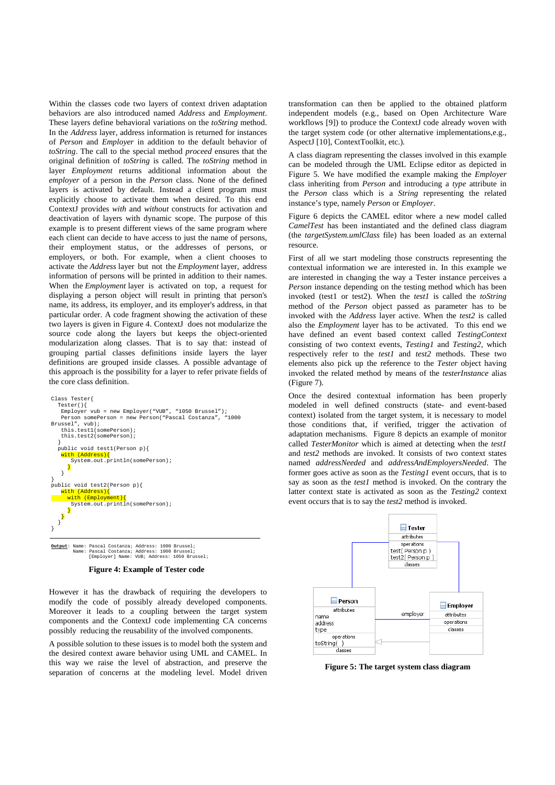Within the classes code two layers of context driven adaptation behaviors are also introduced named *Address* and *Employment*. These layers define behavioral variations on the *toString* method. In the *Address* layer, address information is returned for instances of *Person* and *Employer* in addition to the default behavior of *toString*. The call to the special method *proceed* ensures that the original definition of *toString* is called. The *toString* method in layer *Employment* returns additional information about the *employer* of a person in the *Person* class. None of the defined layers is activated by default. Instead a client program must explicitly choose to activate them when desired. To this end ContextJ provides *with* and *without* constructs for activation and deactivation of layers with dynamic scope. The purpose of this example is to present different views of the same program where each client can decide to have access to just the name of persons, their employment status, or the addresses of persons, or employers, or both. For example, when a client chooses to activate the *Address* layer but not the *Employment* layer, address information of persons will be printed in addition to their names. When the *Employment* layer is activated on top, a request for displaying a person object will result in printing that person's name, its address, its employer, and its employer's address, in that particular order. A code fragment showing the activation of these two layers is given in Figure 4. ContextJ does not modularize the source code along the layers but keeps the object-oriented modularization along classes. That is to say that: instead of grouping partial classes definitions inside layers the layer definitions are grouped inside classes. A possible advantage of this approach is the possibility for a layer to refer private fields of the core class definition.

```
Class Tester{ 
   Tester(){ 
    Employer vub = new Employer("VUB", "1050 Brussel");
   Person somePerson = new Person("Pascal Costanza", "1000"
Brussel", vub); 
     this.test1(somePerson); 
     this.test2(somePerson); 
 } 
   public void test1(Person p){ 
with (Address){<br>System.out.println(somePerson);
      } 
     } 
} 
public void test2(Person p){ 
 with (Address){ 
 with (Employment){ 
       System.out.println(somePerson);
       } 
    } 
   } 
} 
Output: Name: Pascal Costanza; Address: 1000 Brussel; 
 Name: Pascal Costanza; Address: 1000 Brussel; 
 [Employer] Name: VUB; Address: 1050 Brussel;
```
**Figure 4: Example of Tester code** 

However it has the drawback of requiring the developers to modify the code of possibly already developed components. Moreover it leads to a coupling between the target system components and the ContextJ code implementing CA concerns possibly reducing the reusability of the involved components.

A possible solution to these issues is to model both the system and the desired context aware behavior using UML and CAMEL. In this way we raise the level of abstraction, and preserve the separation of concerns at the modeling level. Model driven

transformation can then be applied to the obtained platform independent models (e.g., based on Open Architecture Ware workflows [9]) to produce the ContextJ code already woven with the target system code (or other alternative implementations,e.g., AspectJ [10], ContextToolkit, etc.).

A class diagram representing the classes involved in this example can be modeled through the UML Eclipse editor as depicted in Figure 5. We have modified the example making the *Employer* class inheriting from *Person* and introducing a *type* attribute in the *Person* class which is a *String* representing the related instance's type, namely *Person* or *Employer*.

Figure 6 depicts the CAMEL editor where a new model called *CamelTest* has been instantiated and the defined class diagram (the *targetSystem.umlClass* file) has been loaded as an external resource.

First of all we start modeling those constructs representing the contextual information we are interested in. In this example we are interested in changing the way a Tester instance perceives a *Person* instance depending on the testing method which has been invoked (test1 or test2). When the *test1* is called the *toString* method of the *Person* object passed as parameter has to be invoked with the *Address* layer active. When the *test2* is called also the *Employment* layer has to be activated. To this end we have defined an event based context called *TestingContext* consisting of two context events, *Testing1* and *Testing2,* which respectively refer to the *test1* and *test2* methods. These two elements also pick up the reference to the *Tester* object having invoked the related method by means of the *testerInstance* alias (Figure 7).

Once the desired contextual information has been properly modeled in well defined constructs (state- and event-based context) isolated from the target system, it is necessary to model those conditions that, if verified, trigger the activation of adaptation mechanisms. Figure 8 depicts an example of monitor called *TesterMonitor* which is aimed at detecting when the *test1* and *test2* methods are invoked. It consists of two context states named *addressNeeded* and *addressAndEmployersNeeded*. The former goes active as soon as the *Testing1* event occurs, that is to say as soon as the *test1* method is invoked. On the contrary the latter context state is activated as soon as the *Testing2* context event occurs that is to say the *test2* method is invoked.



**Figure 5: The target system class diagram**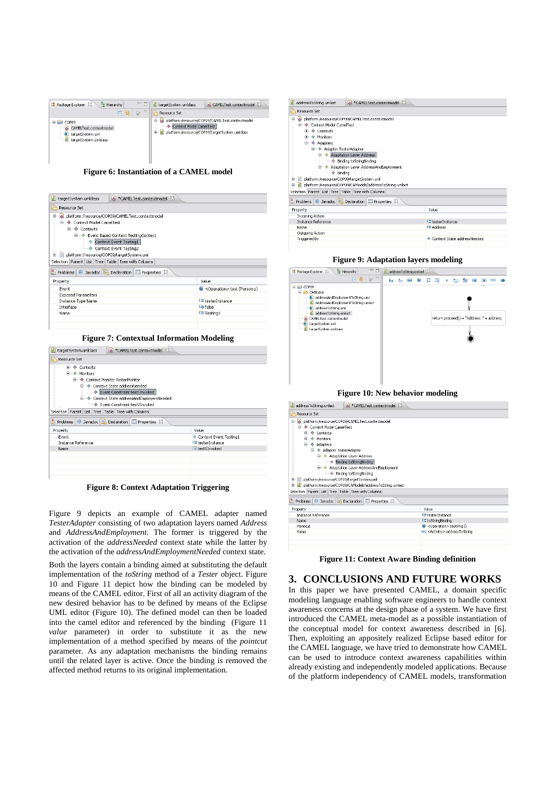| $\qquad \qquad =\qquad$<br>目<br>壔<br>Package Explorer 23<br>P Hierarchy                          | CAMELTest.contextmodel 23<br>targetSystem.umlclass                                                                                    |
|--------------------------------------------------------------------------------------------------|---------------------------------------------------------------------------------------------------------------------------------------|
| $\triangledown$<br>$-69$<br>体<br>F                                                               | Resource Set                                                                                                                          |
| <b>B</b> COPO9<br>CAMELTest.contextmodel<br>W.<br>₽<br>targetSystem.uml<br>targetSystem.umlclass | platform:/resource/COP09/CAMELTest.contextmodel<br>Context Model CamelTest<br>ille all platform:/resource/COP09/targetSystem.umiclass |

**Figure 6: Instantiation of a CAMEL model** 

| *CAMELTest.contextmodel 23<br>targetSystem.umlclass      |                 |  |  |  |  |  |  |
|----------------------------------------------------------|-----------------|--|--|--|--|--|--|
| Resource Set                                             |                 |  |  |  |  |  |  |
| platform:/resource/COP09/CAMELTest.contextmodel<br>⊟…    |                 |  |  |  |  |  |  |
| ← Context Model CamelTest                                |                 |  |  |  |  |  |  |
| ⊟… $\Phi$ Contexts                                       |                 |  |  |  |  |  |  |
| □… ◆ Event Based Context TestingContext                  |                 |  |  |  |  |  |  |
| Context Event Testing1                                   |                 |  |  |  |  |  |  |
| └ Context Event Testing2                                 |                 |  |  |  |  |  |  |
| platform:/resource/COP09/targetSystem.uml                |                 |  |  |  |  |  |  |
| Selection Parent List Tree Table Tree with Columns       |                 |  |  |  |  |  |  |
| Problems   @ Javadoc   Sp. Declaration   E Properties 23 |                 |  |  |  |  |  |  |
| Property                                                 | Value           |  |  |  |  |  |  |
| · <operation> test (Person p)<br/>Event</operation>      |                 |  |  |  |  |  |  |
| <b>Exposed Parameters</b>                                |                 |  |  |  |  |  |  |
| LesterInstance<br>Instance Type Name                     |                 |  |  |  |  |  |  |
| Interface                                                | <b>We false</b> |  |  |  |  |  |  |
| Name                                                     | lle Testing1    |  |  |  |  |  |  |
|                                                          |                 |  |  |  |  |  |  |
|                                                          |                 |  |  |  |  |  |  |

**Figure 7: Contextual Information Modeling** 

| *CAMELTest.contextmodel 23<br>targetSystem.umlclass    |       |  |  |  |  |  |  |
|--------------------------------------------------------|-------|--|--|--|--|--|--|
| Resource Set<br>اجزا                                   |       |  |  |  |  |  |  |
| œ<br>- ← Contexts                                      |       |  |  |  |  |  |  |
| ė.<br>Monitors<br>- 4                                  |       |  |  |  |  |  |  |
| □ - ◆ Context Monitor TesterMonitor                    |       |  |  |  |  |  |  |
| <sup>□ ↓</sup> Context State addressNeeded             |       |  |  |  |  |  |  |
| Event Constraint test1Invoked                          |       |  |  |  |  |  |  |
| <sup>□ ◆</sup> Context State addressAndEmployersNeeded |       |  |  |  |  |  |  |
| └─ ◆ Event Constraint test2Invoked                     |       |  |  |  |  |  |  |
| Selection Parent List Tree Table Tree with Columns     |       |  |  |  |  |  |  |
| @ Javadoc & Declaration E Properties &<br>Problems     |       |  |  |  |  |  |  |
| Property                                               | Value |  |  |  |  |  |  |
| Context Event Testing1<br>Event                        |       |  |  |  |  |  |  |
| Instance Reference<br>LE testerInstance                |       |  |  |  |  |  |  |
| LE test1Invoked<br>Name                                |       |  |  |  |  |  |  |
|                                                        |       |  |  |  |  |  |  |
|                                                        |       |  |  |  |  |  |  |
|                                                        |       |  |  |  |  |  |  |
|                                                        |       |  |  |  |  |  |  |

**Figure 8: Context Adaptation Triggering** 

Figure 9 depicts an example of CAMEL adapter named *TesterAdapter* consisting of two adaptation layers named *Address* and *AddressAndEmployment*. The former is triggered by the activation of the *addressNeeded* context state while the latter by the activation of the *addressAndEmploymentNeeded* context state.

Both the layers contain a binding aimed at substituting the default implementation of the *toString* method of a *Tester* object. Figure 10 and Figure 11 depict how the binding can be modeled by means of the CAMEL editor. First of all an activity diagram of the new desired behavior has to be defined by means of the Eclipse UML editor (Figure 10). The defined model can then be loaded into the camel editor and referenced by the binding (Figure 11 *value* parameter) in order to substitute it as the new implementation of a method specified by means of the *pointcut* parameter. As any adaptation mechanisms the binding remains until the related layer is active. Once the binding is removed the affected method returns to its original implementation.

| *CAMELTest.contextmodel 23<br>addressToString.umlact         |                         |  |  |  |  |  |
|--------------------------------------------------------------|-------------------------|--|--|--|--|--|
| Resource Set                                                 |                         |  |  |  |  |  |
| platform:/resource/COP09/CAMELTest.contextmodel<br>⊟…        |                         |  |  |  |  |  |
| <b>E</b> ← Context Model CamelTest                           |                         |  |  |  |  |  |
| $\overline{H}$ $\rightarrow$ Contexts                        |                         |  |  |  |  |  |
| <b>E-</b> ← Monitors                                         |                         |  |  |  |  |  |
| <sup>□</sup> Adapters                                        |                         |  |  |  |  |  |
| <sup>□ ◆</sup> Adapter TesterAdapter                         |                         |  |  |  |  |  |
| □ ◆ Adaptation Layer Address                                 |                         |  |  |  |  |  |
| └─ ◆ Binding toStringBinding                                 |                         |  |  |  |  |  |
| □ ◆ Adaptation Layer AddressAndEmployment                    |                         |  |  |  |  |  |
| $\rightarrow$ Binding                                        |                         |  |  |  |  |  |
| <b>E-B</b> platform:/resource/COP09/targetSystem.uml         |                         |  |  |  |  |  |
| E d platform:/resource/COP09/CAModels/addressToString.umlact |                         |  |  |  |  |  |
| Selection Parent List Tree Table Tree with Columns           |                         |  |  |  |  |  |
| Problems @ Javadoc   & Declaration   The Properties &        |                         |  |  |  |  |  |
| Value<br>Property                                            |                         |  |  |  |  |  |
| Incoming Action                                              |                         |  |  |  |  |  |
| Instance Reference                                           | <b>E</b> testerInstance |  |  |  |  |  |
| Name                                                         | <sup>L</sup> Address    |  |  |  |  |  |
| Outgoing Action                                              |                         |  |  |  |  |  |
| ♦ Context State addressNeeded<br>Triggered By                |                         |  |  |  |  |  |

**Figure 9: Adaptation layers modeling** 

| 一日<br>Hierarchy<br><b>B</b> Package Explorer 23                                                                                                                                                                                                         | d addressToString.umlact 23 |  |   |   |   |    |                                           |    |     |   |  |
|---------------------------------------------------------------------------------------------------------------------------------------------------------------------------------------------------------------------------------------------------------|-----------------------------|--|---|---|---|----|-------------------------------------------|----|-----|---|--|
| 日常 2                                                                                                                                                                                                                                                    | ĭэ                          |  | ⊗ | ⊯ | 訓 | g, | 伽                                         | জি | GB) | 帶 |  |
| <sup>B-1</sup> → COP09<br><b>E-CAModels</b><br>addressAndEmploymentToString.uml<br>d addressAndEmploymentToString.umlact<br>addressToString.uml<br>d addressToString.umlact<br>CAMELTest.contextmodel<br>₩<br>targetSystem.uml<br>targetSystem.umlclass |                             |  |   |   |   |    | return proceed() + "Address: " + address; |    |     |   |  |

**Figure 10: New behavior modeling** 

| CAMELTest.contextmodel 23<br>addressToString.umlact                 |                                           |  |  |  |  |  |  |
|---------------------------------------------------------------------|-------------------------------------------|--|--|--|--|--|--|
| Resource Set<br>I٨                                                  |                                           |  |  |  |  |  |  |
| b.<br>platform:/resource/COP09/CAMELTest.contextmodel<br>Θ          |                                           |  |  |  |  |  |  |
| ⊟…◆ Context Model CamelTest                                         |                                           |  |  |  |  |  |  |
| $\boxplus$ $\Rightarrow$ Contexts                                   |                                           |  |  |  |  |  |  |
| ← Monitors                                                          |                                           |  |  |  |  |  |  |
| ℮<br>♦ Adapters                                                     |                                           |  |  |  |  |  |  |
| <sup>□</sup> · ◆ Adapter TesterAdapter                              |                                           |  |  |  |  |  |  |
| <sup>□ +</sup> Adaptation Layer Address                             |                                           |  |  |  |  |  |  |
| └ Binding toStringBinding                                           |                                           |  |  |  |  |  |  |
| <sup>□ ◆</sup> Adaptation Layer AddressAndEmployment                |                                           |  |  |  |  |  |  |
|                                                                     | └─ ◆ Binding toStringBinding              |  |  |  |  |  |  |
| platform:/resource/COP09/targetSystem.uml<br>目<br>œ                 |                                           |  |  |  |  |  |  |
| platform:/resource/COP09/CAModels/addressToString.umlact<br>١æ<br>歯 |                                           |  |  |  |  |  |  |
| Selection Parent List Tree Table Tree with Columns                  |                                           |  |  |  |  |  |  |
| Problems @ Javadoc & Declaration E Properties &                     |                                           |  |  |  |  |  |  |
| Property                                                            | Value                                     |  |  |  |  |  |  |
| <b>Instance Reference</b>                                           | LesterInstance                            |  |  |  |  |  |  |
| Name                                                                | LE toStringBinding                        |  |  |  |  |  |  |
| Pointcut                                                            | · <operation> toString ()</operation>     |  |  |  |  |  |  |
| Value                                                               | 49) <activity> addressToString</activity> |  |  |  |  |  |  |
|                                                                     |                                           |  |  |  |  |  |  |
|                                                                     |                                           |  |  |  |  |  |  |

**Figure 11: Context Aware Binding definition** 

## **3. CONCLUSIONS AND FUTURE WORKS**

In this paper we have presented CAMEL, a domain specific modeling language enabling software engineers to handle context awareness concerns at the design phase of a system. We have first introduced the CAMEL meta-model as a possible instantiation of the conceptual model for context awareness described in [6]. Then, exploiting an appositely realized Eclipse based editor for the CAMEL language, we have tried to demonstrate how CAMEL can be used to introduce context awareness capabilities within already existing and independently modeled applications. Because of the platform independency of CAMEL models, transformation